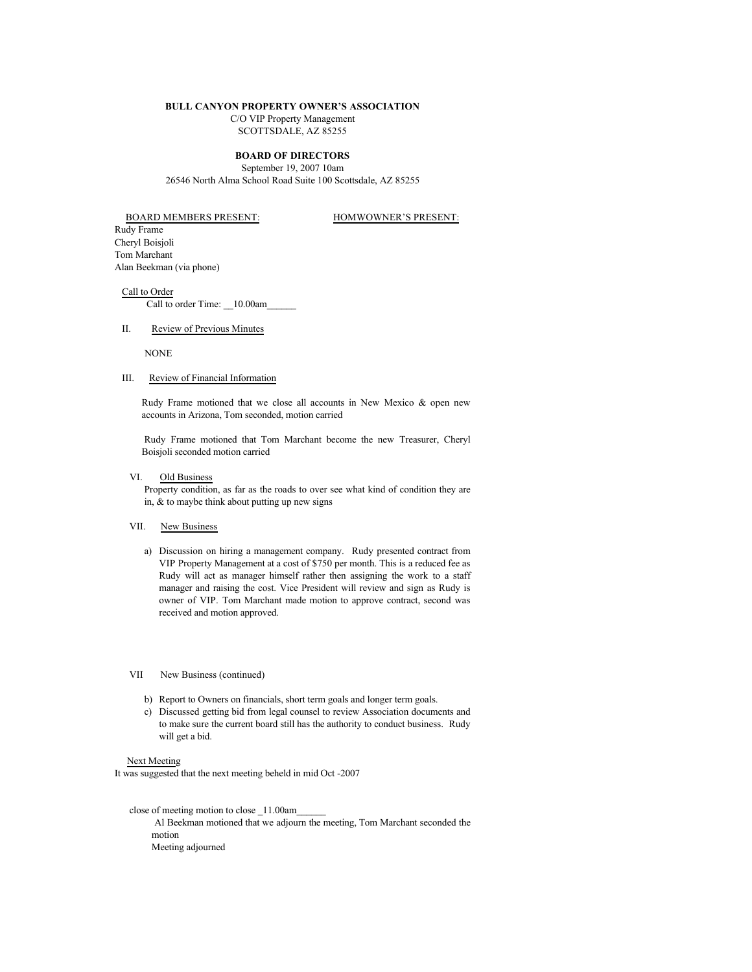#### **BULL CANYON PROPERTY OWNER'S ASSOCIATION**

C/O VIP Property Management

SCOTTSDALE, AZ 85255

## **BOARD OF DIRECTORS**

September 19, 2007 10am 26546 North Alma School Road Suite 100 Scottsdale, AZ 85255

BOARD MEMBERS PRESENT: HOMWOWNER'S PRESENT:

Rudy Frame Cheryl Boisjoli Tom Marchant Alan Beekman (via phone)

Call to Order Call to order Time: \_\_10.00am\_

## II. Review of Previous Minutes

NONE

### III. Review of Financial Information

Rudy Frame motioned that we close all accounts in New Mexico & open new accounts in Arizona, Tom seconded, motion carried

Rudy Frame motioned that Tom Marchant become the new Treasurer, Cheryl Boisjoli seconded motion carried

# VI. Old Business

Property condition, as far as the roads to over see what kind of condition they are in, & to maybe think about putting up new signs

# VII. New Business

a) Discussion on hiring a management company. Rudy presented contract from VIP Property Management at a cost of \$750 per month. This is a reduced fee as Rudy will act as manager himself rather then assigning the work to a staff manager and raising the cost. Vice President will review and sign as Rudy is owner of VIP. Tom Marchant made motion to approve contract, second was received and motion approved.

# VII New Business (continued)

- b) Report to Owners on financials, short term goals and longer term goals.
- c) Discussed getting bid from legal counsel to review Association documents and to make sure the current board still has the authority to conduct business. Rudy will get a bid.

#### Next Meeting

It was suggested that the next meeting beheld in mid Oct -2007

 close of meeting motion to close \_11.00am\_\_\_\_\_\_ Al Beekman motioned that we adjourn the meeting, Tom Marchant seconded the motion Meeting adjourned